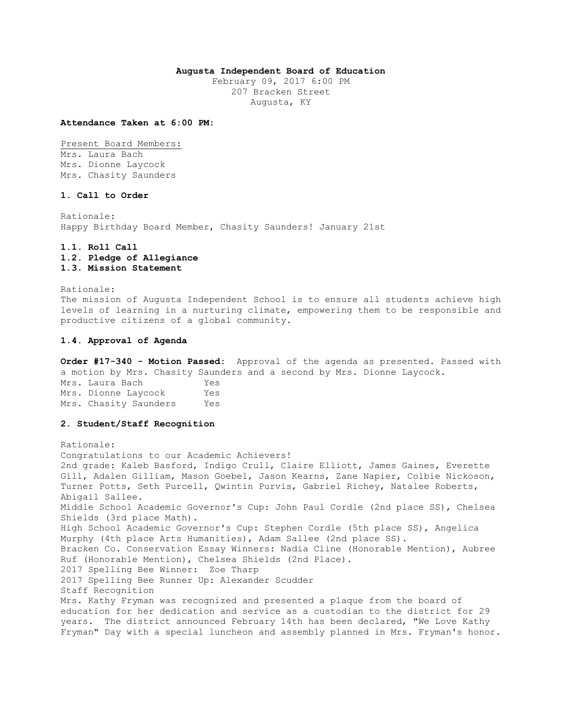### **Augusta Independent Board of Education**

February 09, 2017 6:00 PM 207 Bracken Street Augusta, KY

#### **Attendance Taken at 6:00 PM:**

Present Board Members: Mrs. Laura Bach Mrs. Dionne Laycock Mrs. Chasity Saunders

## **1. Call to Order**

Rationale: Happy Birthday Board Member, Chasity Saunders! January 21st

# **1.1. Roll Call 1.2. Pledge of Allegiance 1.3. Mission Statement**

Rationale: The mission of Augusta Independent School is to ensure all students achieve high levels of learning in a nurturing climate, empowering them to be responsible and productive citizens of a global community.

#### **1.4. Approval of Agenda**

**Order #17-340 - Motion Passed:** Approval of the agenda as presented. Passed with a motion by Mrs. Chasity Saunders and a second by Mrs. Dionne Laycock. Mrs. Laura Bach Yes Mrs. Dionne Laycock Yes Mrs. Chasity Saunders Yes

## **2. Student/Staff Recognition**

Rationale: Congratulations to our Academic Achievers! 2nd grade: Kaleb Basford, Indigo Crull, Claire Elliott, James Gaines, Everette Gill, Adalen Gilliam, Mason Goebel, Jason Kearns, Zane Napier, Colbie Nickoson, Turner Potts, Seth Purcell, Qwintin Purvis, Gabriel Richey, Natalee Roberts, Abigail Sallee. Middle School Academic Governor's Cup: John Paul Cordle (2nd place SS), Chelsea Shields (3rd place Math). High School Academic Governor's Cup: Stephen Cordle (5th place SS), Angelica Murphy (4th place Arts Humanities), Adam Sallee (2nd place SS). Bracken Co. Conservation Essay Winners: Nadia Cline (Honorable Mention), Aubree Ruf (Honorable Mention), Chelsea Shields (2nd Place). 2017 Spelling Bee Winner: Zoe Tharp 2017 Spelling Bee Runner Up: Alexander Scudder Staff Recognition Mrs. Kathy Fryman was recognized and presented a plaque from the board of education for her dedication and service as a custodian to the district for 29 years. The district announced February 14th has been declared, "We Love Kathy Fryman" Day with a special luncheon and assembly planned in Mrs. Fryman's honor.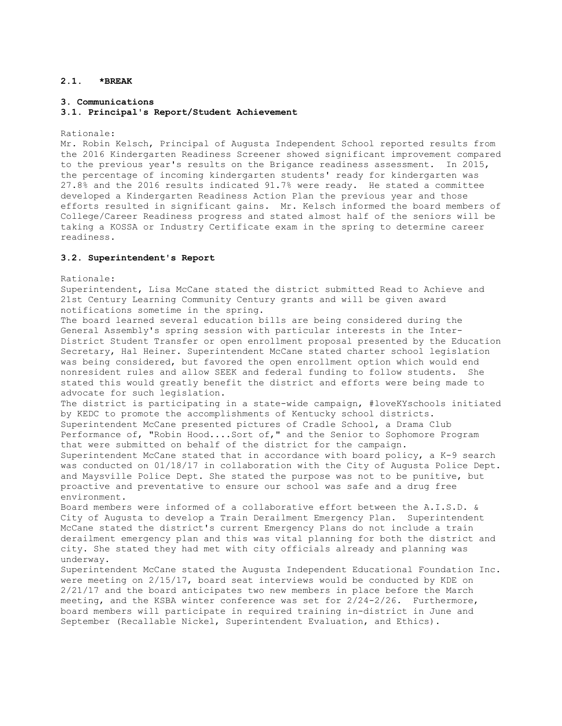## **2.1. \*BREAK**

### **3. Communications**

#### **3.1. Principal's Report/Student Achievement**

Rationale:

Mr. Robin Kelsch, Principal of Augusta Independent School reported results from the 2016 Kindergarten Readiness Screener showed significant improvement compared to the previous year's results on the Brigance readiness assessment. In 2015, the percentage of incoming kindergarten students' ready for kindergarten was 27.8% and the 2016 results indicated 91.7% were ready. He stated a committee developed a Kindergarten Readiness Action Plan the previous year and those efforts resulted in significant gains. Mr. Kelsch informed the board members of College/Career Readiness progress and stated almost half of the seniors will be taking a KOSSA or Industry Certificate exam in the spring to determine career readiness.

### **3.2. Superintendent's Report**

Rationale:

Superintendent, Lisa McCane stated the district submitted Read to Achieve and 21st Century Learning Community Century grants and will be given award notifications sometime in the spring.

The board learned several education bills are being considered during the General Assembly's spring session with particular interests in the Inter-District Student Transfer or open enrollment proposal presented by the Education Secretary, Hal Heiner. Superintendent McCane stated charter school legislation was being considered, but favored the open enrollment option which would end nonresident rules and allow SEEK and federal funding to follow students. She stated this would greatly benefit the district and efforts were being made to advocate for such legislation.

The district is participating in a state-wide campaign, #loveKYschools initiated by KEDC to promote the accomplishments of Kentucky school districts. Superintendent McCane presented pictures of Cradle School, a Drama Club Performance of, "Robin Hood....Sort of," and the Senior to Sophomore Program that were submitted on behalf of the district for the campaign. Superintendent McCane stated that in accordance with board policy, a K-9 search

was conducted on 01/18/17 in collaboration with the City of Augusta Police Dept. and Maysville Police Dept. She stated the purpose was not to be punitive, but proactive and preventative to ensure our school was safe and a drug free environment.

Board members were informed of a collaborative effort between the A.I.S.D. & City of Augusta to develop a Train Derailment Emergency Plan. Superintendent McCane stated the district's current Emergency Plans do not include a train derailment emergency plan and this was vital planning for both the district and city. She stated they had met with city officials already and planning was underway.

Superintendent McCane stated the Augusta Independent Educational Foundation Inc. were meeting on 2/15/17, board seat interviews would be conducted by KDE on 2/21/17 and the board anticipates two new members in place before the March meeting, and the KSBA winter conference was set for  $2/24-2/26$ . Furthermore, board members will participate in required training in-district in June and September (Recallable Nickel, Superintendent Evaluation, and Ethics).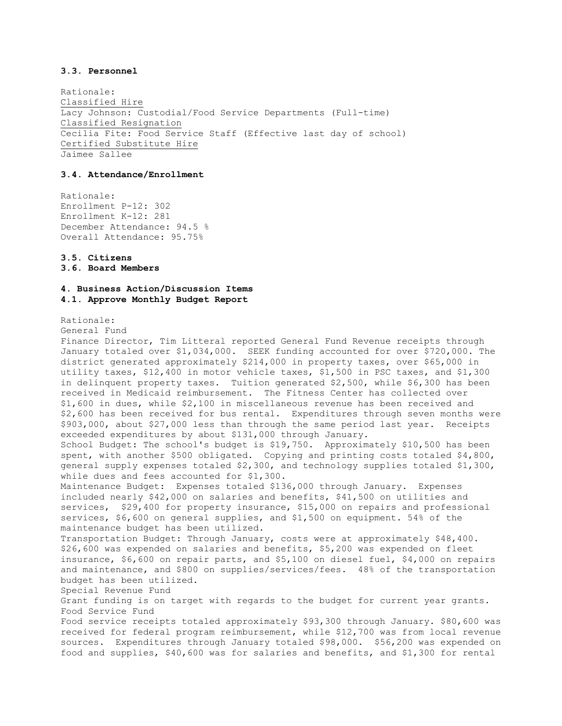## **3.3. Personnel**

Rationale: Classified Hire Lacy Johnson: Custodial/Food Service Departments (Full-time) Classified Resignation Cecilia Fite: Food Service Staff (Effective last day of school) Certified Substitute Hire Jaimee Sallee

## **3.4. Attendance/Enrollment**

Rationale: Enrollment P-12: 302 Enrollment K-12: 281 December Attendance: 94.5 % Overall Attendance: 95.75%

### **3.5. Citizens 3.6. Board Members**

# **4. Business Action/Discussion Items 4.1. Approve Monthly Budget Report**

### Rationale:

General Fund

Finance Director, Tim Litteral reported General Fund Revenue receipts through January totaled over \$1,034,000. SEEK funding accounted for over \$720,000. The district generated approximately \$214,000 in property taxes, over \$65,000 in utility taxes, \$12,400 in motor vehicle taxes, \$1,500 in PSC taxes, and \$1,300 in delinquent property taxes. Tuition generated \$2,500, while \$6,300 has been received in Medicaid reimbursement. The Fitness Center has collected over \$1,600 in dues, while \$2,100 in miscellaneous revenue has been received and \$2,600 has been received for bus rental. Expenditures through seven months were \$903,000, about \$27,000 less than through the same period last year. Receipts exceeded expenditures by about \$131,000 through January. School Budget: The school's budget is \$19,750. Approximately \$10,500 has been spent, with another \$500 obligated. Copying and printing costs totaled \$4,800, general supply expenses totaled \$2,300, and technology supplies totaled \$1,300, while dues and fees accounted for \$1,300. Maintenance Budget: Expenses totaled \$136,000 through January. Expenses included nearly \$42,000 on salaries and benefits, \$41,500 on utilities and services, \$29,400 for property insurance, \$15,000 on repairs and professional services, \$6,600 on general supplies, and \$1,500 on equipment. 54% of the maintenance budget has been utilized. Transportation Budget: Through January, costs were at approximately \$48,400. \$26,600 was expended on salaries and benefits, \$5,200 was expended on fleet insurance, \$6,600 on repair parts, and \$5,100 on diesel fuel, \$4,000 on repairs and maintenance, and \$800 on supplies/services/fees. 48% of the transportation budget has been utilized. Special Revenue Fund Grant funding is on target with regards to the budget for current year grants. Food Service Fund Food service receipts totaled approximately \$93,300 through January. \$80,600 was received for federal program reimbursement, while \$12,700 was from local revenue sources. Expenditures through January totaled \$98,000. \$56,200 was expended on food and supplies, \$40,600 was for salaries and benefits, and \$1,300 for rental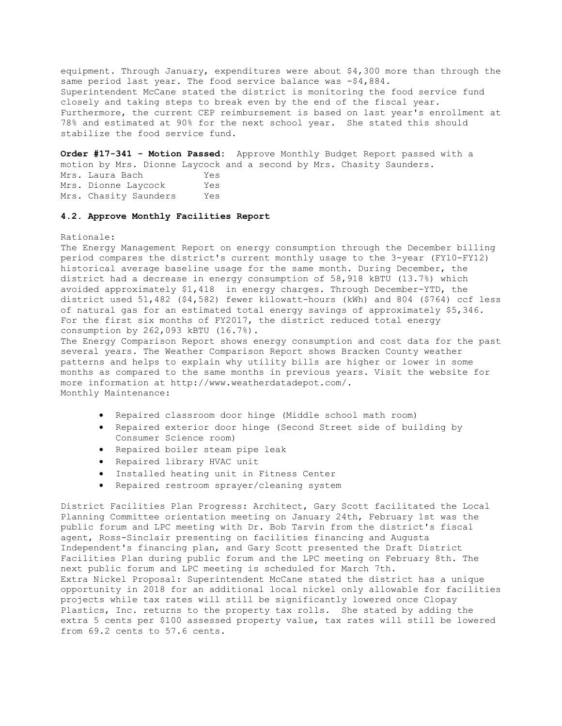equipment. Through January, expenditures were about \$4,300 more than through the same period last year. The food service balance was -\$4,884. Superintendent McCane stated the district is monitoring the food service fund closely and taking steps to break even by the end of the fiscal year. Furthermore, the current CEP reimbursement is based on last year's enrollment at 78% and estimated at 90% for the next school year. She stated this should stabilize the food service fund.

**Order #17-341 - Motion Passed:** Approve Monthly Budget Report passed with a motion by Mrs. Dionne Laycock and a second by Mrs. Chasity Saunders. Mrs. Laura Bach Yes Mrs. Dionne Laycock Yes Mrs. Chasity Saunders Yes

### **4.2. Approve Monthly Facilities Report**

### Rationale:

The Energy Management Report on energy consumption through the December billing period compares the district's current monthly usage to the 3-year (FY10-FY12) historical average baseline usage for the same month. During December, the district had a decrease in energy consumption of 58,918 kBTU (13.7%) which avoided approximately \$1,418 in energy charges. Through December-YTD, the district used 51,482 (\$4,582) fewer kilowatt-hours (kWh) and 804 (\$764) ccf less of natural gas for an estimated total energy savings of approximately \$5,346. For the first six months of FY2017, the district reduced total energy consumption by 262,093 kBTU (16.7%).

The Energy Comparison Report shows energy consumption and cost data for the past several years. The Weather Comparison Report shows Bracken County weather patterns and helps to explain why utility bills are higher or lower in some months as compared to the same months in previous years. Visit the website for more information at http://www.weatherdatadepot.com/. Monthly Maintenance:

- Repaired classroom door hinge (Middle school math room)
- Repaired exterior door hinge (Second Street side of building by Consumer Science room)
- Repaired boiler steam pipe leak
- Repaired library HVAC unit
- Installed heating unit in Fitness Center
- Repaired restroom sprayer/cleaning system

District Facilities Plan Progress: Architect, Gary Scott facilitated the Local Planning Committee orientation meeting on January 24th, February 1st was the public forum and LPC meeting with Dr. Bob Tarvin from the district's fiscal agent, Ross-Sinclair presenting on facilities financing and Augusta Independent's financing plan, and Gary Scott presented the Draft District Facilities Plan during public forum and the LPC meeting on February 8th. The next public forum and LPC meeting is scheduled for March 7th. Extra Nickel Proposal: Superintendent McCane stated the district has a unique opportunity in 2018 for an additional local nickel only allowable for facilities projects while tax rates will still be significantly lowered once Clopay Plastics, Inc. returns to the property tax rolls. She stated by adding the extra 5 cents per \$100 assessed property value, tax rates will still be lowered from 69.2 cents to 57.6 cents.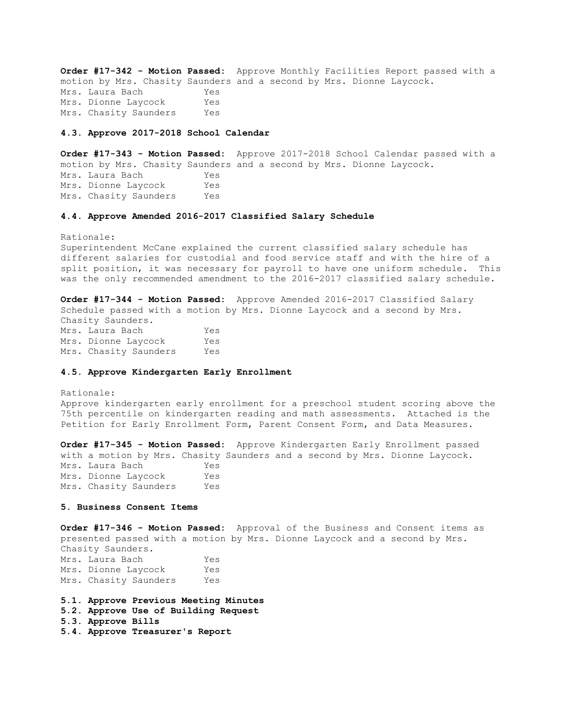**Order #17-342 - Motion Passed:** Approve Monthly Facilities Report passed with a motion by Mrs. Chasity Saunders and a second by Mrs. Dionne Laycock. Mrs. Laura Bach Yes Mrs. Dionne Laycock Yes Mrs. Chasity Saunders Yes

#### **4.3. Approve 2017-2018 School Calendar**

**Order #17-343 - Motion Passed:** Approve 2017-2018 School Calendar passed with a motion by Mrs. Chasity Saunders and a second by Mrs. Dionne Laycock. Mrs. Laura Bach Yes Mrs. Dionne Laycock Yes Mrs. Chasity Saunders Yes

### **4.4. Approve Amended 2016-2017 Classified Salary Schedule**

Rationale: Superintendent McCane explained the current classified salary schedule has different salaries for custodial and food service staff and with the hire of a split position, it was necessary for payroll to have one uniform schedule. This was the only recommended amendment to the 2016-2017 classified salary schedule.

**Order #17-344 - Motion Passed:** Approve Amended 2016-2017 Classified Salary Schedule passed with a motion by Mrs. Dionne Laycock and a second by Mrs. Chasity Saunders. Mrs. Laura Bach Yes Mrs. Dionne Laycock Yes Mrs. Chasity Saunders Yes

#### **4.5. Approve Kindergarten Early Enrollment**

Rationale: Approve kindergarten early enrollment for a preschool student scoring above the 75th percentile on kindergarten reading and math assessments. Attached is the Petition for Early Enrollment Form, Parent Consent Form, and Data Measures.

**Order #17-345 - Motion Passed:** Approve Kindergarten Early Enrollment passed with a motion by Mrs. Chasity Saunders and a second by Mrs. Dionne Laycock. Mrs. Laura Bach Yes Mrs. Dionne Laycock Yes Mrs. Chasity Saunders Yes

#### **5. Business Consent Items**

**Order #17-346 - Motion Passed:** Approval of the Business and Consent items as presented passed with a motion by Mrs. Dionne Laycock and a second by Mrs. Chasity Saunders. Mrs. Laura Bach Yes Mrs. Dionne Laycock Yes

Mrs. Chasity Saunders Yes

**5.1. Approve Previous Meeting Minutes** 

- **5.2. Approve Use of Building Request**
- **5.3. Approve Bills**
- **5.4. Approve Treasurer's Report**